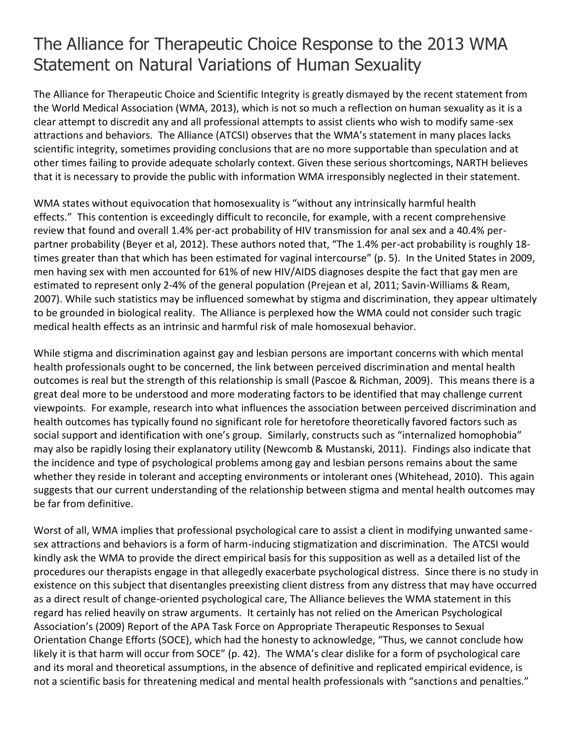## The Alliance for Therapeutic Choice Response to the 2013 WMA Statement on Natural Variations of Human Sexuality

The Alliance for Therapeutic Choice and Scientific Integrity is greatly dismayed by the recent statement from the World Medical Association (WMA, 2013), which is not so much a reflection on human sexuality as it is a clear attempt to discredit any and all professional attempts to assist clients who wish to modify same-sex attractions and behaviors. The Alliance (ATCSI) observes that the WMA's statement in many places lacks scientific integrity, sometimes providing conclusions that are no more supportable than speculation and at other times failing to provide adequate scholarly context. Given these serious shortcomings, NARTH believes that it is necessary to provide the public with information WMA irresponsibly neglected in their statement.

WMA states without equivocation that homosexuality is "without any intrinsically harmful health effects." This contention is exceedingly difficult to reconcile, for example, with a recent comprehensive review that found and overall 1.4% per-act probability of HIV transmission for anal sex and a 40.4% perpartner probability (Beyer et al, 2012). These authors noted that, "The 1.4% per-act probability is roughly 18 times greater than that which has been estimated for vaginal intercourse" (p. 5). In the United States in 2009, men having sex with men accounted for 61% of new HIV/AIDS diagnoses despite the fact that gay men are estimated to represent only 2-4% of the general population (Prejean et al, 2011; Savin-Williams & Ream, 2007). While such statistics may be influenced somewhat by stigma and discrimination, they appear ultimately to be grounded in biological reality. The Alliance is perplexed how the WMA could not consider such tragic medical health effects as an intrinsic and harmful risk of male homosexual behavior.

While stigma and discrimination against gay and lesbian persons are important concerns with which mental health professionals ought to be concerned, the link between perceived discrimination and mental health outcomes is real but the strength of this relationship is small (Pascoe & Richman, 2009). This means there is a great deal more to be understood and more moderating factors to be identified that may challenge current viewpoints. For example, research into what influences the association between perceived discrimination and health outcomes has typically found no significant role for heretofore theoretically favored factors such as social support and identification with one's group. Similarly, constructs such as "internalized homophobia" may also be rapidly losing their explanatory utility (Newcomb & Mustanski, 2011). Findings also indicate that the incidence and type of psychological problems among gay and lesbian persons remains about the same whether they reside in tolerant and accepting environments or intolerant ones (Whitehead, 2010). This again suggests that our current understanding of the relationship between stigma and mental health outcomes may be far from definitive.

Worst of all, WMA implies that professional psychological care to assist a client in modifying unwanted samesex attractions and behaviors is a form of harm-inducing stigmatization and discrimination. The ATCSI would kindly ask the WMA to provide the direct empirical basis for this supposition as well as a detailed list of the procedures our therapists engage in that allegedly exacerbate psychological distress. Since there is no study in existence on this subject that disentangles preexisting client distress from any distress that may have occurred as a direct result of change-oriented psychological care, The Alliance believes the WMA statement in this regard has relied heavily on straw arguments. It certainly has not relied on the American Psychological Association's (2009) Report of the APA Task Force on Appropriate Therapeutic Responses to Sexual Orientation Change Efforts (SOCE), which had the honesty to acknowledge, "Thus, we cannot conclude how likely it is that harm will occur from SOCE" (p. 42). The WMA's clear dislike for a form of psychological care and its moral and theoretical assumptions, in the absence of definitive and replicated empirical evidence, is not a scientific basis for threatening medical and mental health professionals with "sanctions and penalties."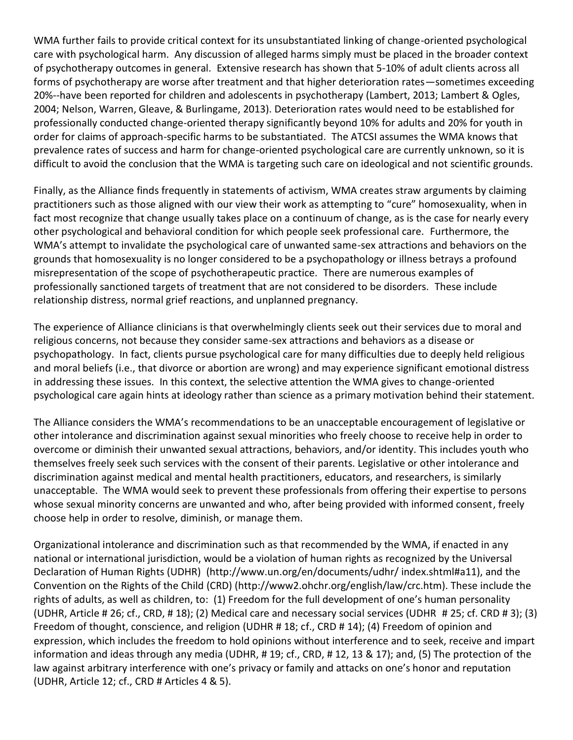WMA further fails to provide critical context for its unsubstantiated linking of change-oriented psychological care with psychological harm. Any discussion of alleged harms simply must be placed in the broader context of psychotherapy outcomes in general. Extensive research has shown that 5-10% of adult clients across all forms of psychotherapy are worse after treatment and that higher deterioration rates—sometimes exceeding 20%--have been reported for children and adolescents in psychotherapy (Lambert, 2013; Lambert & Ogles, 2004; Nelson, Warren, Gleave, & Burlingame, 2013). Deterioration rates would need to be established for professionally conducted change-oriented therapy significantly beyond 10% for adults and 20% for youth in order for claims of approach-specific harms to be substantiated. The ATCSI assumes the WMA knows that prevalence rates of success and harm for change-oriented psychological care are currently unknown, so it is difficult to avoid the conclusion that the WMA is targeting such care on ideological and not scientific grounds.

Finally, as the Alliance finds frequently in statements of activism, WMA creates straw arguments by claiming practitioners such as those aligned with our view their work as attempting to "cure" homosexuality, when in fact most recognize that change usually takes place on a continuum of change, as is the case for nearly every other psychological and behavioral condition for which people seek professional care. Furthermore, the WMA's attempt to invalidate the psychological care of unwanted same-sex attractions and behaviors on the grounds that homosexuality is no longer considered to be a psychopathology or illness betrays a profound misrepresentation of the scope of psychotherapeutic practice. There are numerous examples of professionally sanctioned targets of treatment that are not considered to be disorders. These include relationship distress, normal grief reactions, and unplanned pregnancy.

The experience of Alliance clinicians is that overwhelmingly clients seek out their services due to moral and religious concerns, not because they consider same-sex attractions and behaviors as a disease or psychopathology. In fact, clients pursue psychological care for many difficulties due to deeply held religious and moral beliefs (i.e., that divorce or abortion are wrong) and may experience significant emotional distress in addressing these issues. In this context, the selective attention the WMA gives to change-oriented psychological care again hints at ideology rather than science as a primary motivation behind their statement.

The Alliance considers the WMA's recommendations to be an unacceptable encouragement of legislative or other intolerance and discrimination against sexual minorities who freely choose to receive help in order to overcome or diminish their unwanted sexual attractions, behaviors, and/or identity. This includes youth who themselves freely seek such services with the consent of their parents. Legislative or other intolerance and discrimination against medical and mental health practitioners, educators, and researchers, is similarly unacceptable. The WMA would seek to prevent these professionals from offering their expertise to persons whose sexual minority concerns are unwanted and who, after being provided with informed consent, freely choose help in order to resolve, diminish, or manage them.

Organizational intolerance and discrimination such as that recommended by the WMA, if enacted in any national or international jurisdiction, would be a violation of human rights as recognized by the Universal Declaration of Human Rights (UDHR) (http://www.un.org/en/documents/udhr/ index.shtml#a11), and the Convention on the Rights of the Child (CRD) (http://www2.ohchr.org/english/law/crc.htm). These include the rights of adults, as well as children, to: (1) Freedom for the full development of one's human personality (UDHR, Article # 26; cf., CRD, # 18); (2) Medical care and necessary social services (UDHR # 25; cf. CRD # 3); (3) Freedom of thought, conscience, and religion (UDHR # 18; cf., CRD # 14); (4) Freedom of opinion and expression, which includes the freedom to hold opinions without interference and to seek, receive and impart information and ideas through any media (UDHR, # 19; cf., CRD, # 12, 13 & 17); and, (5) The protection of the law against arbitrary interference with one's privacy or family and attacks on one's honor and reputation (UDHR, Article 12; cf., CRD # Articles 4 & 5).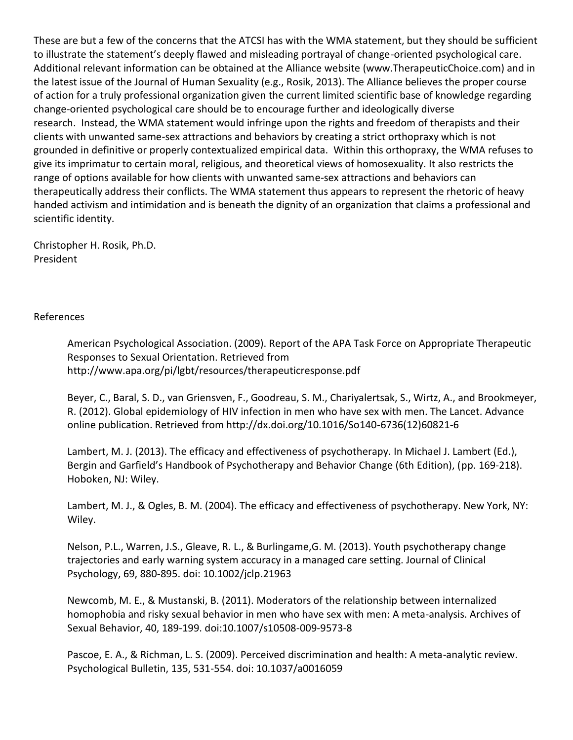These are but a few of the concerns that the ATCSI has with the WMA statement, but they should be sufficient to illustrate the statement's deeply flawed and misleading portrayal of change-oriented psychological care. Additional relevant information can be obtained at the Alliance website (www.TherapeuticChoice.com) and in the latest issue of the Journal of Human Sexuality (e.g., Rosik, 2013). The Alliance believes the proper course of action for a truly professional organization given the current limited scientific base of knowledge regarding change-oriented psychological care should be to encourage further and ideologically diverse research. Instead, the WMA statement would infringe upon the rights and freedom of therapists and their clients with unwanted same-sex attractions and behaviors by creating a strict orthopraxy which is not grounded in definitive or properly contextualized empirical data. Within this orthopraxy, the WMA refuses to give its imprimatur to certain moral, religious, and theoretical views of homosexuality. It also restricts the range of options available for how clients with unwanted same-sex attractions and behaviors can therapeutically address their conflicts. The WMA statement thus appears to represent the rhetoric of heavy handed activism and intimidation and is beneath the dignity of an organization that claims a professional and scientific identity.

Christopher H. Rosik, Ph.D. President

## References

American Psychological Association. (2009). Report of the APA Task Force on Appropriate Therapeutic Responses to Sexual Orientation. Retrieved from http://www.apa.org/pi/lgbt/resources/therapeuticresponse.pdf

Beyer, C., Baral, S. D., van Griensven, F., Goodreau, S. M., Chariyalertsak, S., Wirtz, A., and Brookmeyer, R. (2012). Global epidemiology of HIV infection in men who have sex with men. The Lancet. Advance online publication. Retrieved from http://dx.doi.org/10.1016/So140-6736(12)60821-6

Lambert, M. J. (2013). The efficacy and effectiveness of psychotherapy. In Michael J. Lambert (Ed.), Bergin and Garfield's Handbook of Psychotherapy and Behavior Change (6th Edition), (pp. 169-218). Hoboken, NJ: Wiley.

Lambert, M. J., & Ogles, B. M. (2004). The efficacy and effectiveness of psychotherapy. New York, NY: Wiley.

Nelson, P.L., Warren, J.S., Gleave, R. L., & Burlingame,G. M. (2013). Youth psychotherapy change trajectories and early warning system accuracy in a managed care setting. Journal of Clinical Psychology, 69, 880-895. doi: 10.1002/jclp.21963

Newcomb, M. E., & Mustanski, B. (2011). Moderators of the relationship between internalized homophobia and risky sexual behavior in men who have sex with men: A meta-analysis. Archives of Sexual Behavior, 40, 189-199. doi:10.1007/s10508-009-9573-8

Pascoe, E. A., & Richman, L. S. (2009). Perceived discrimination and health: A meta-analytic review. Psychological Bulletin, 135, 531-554. doi: 10.1037/a0016059